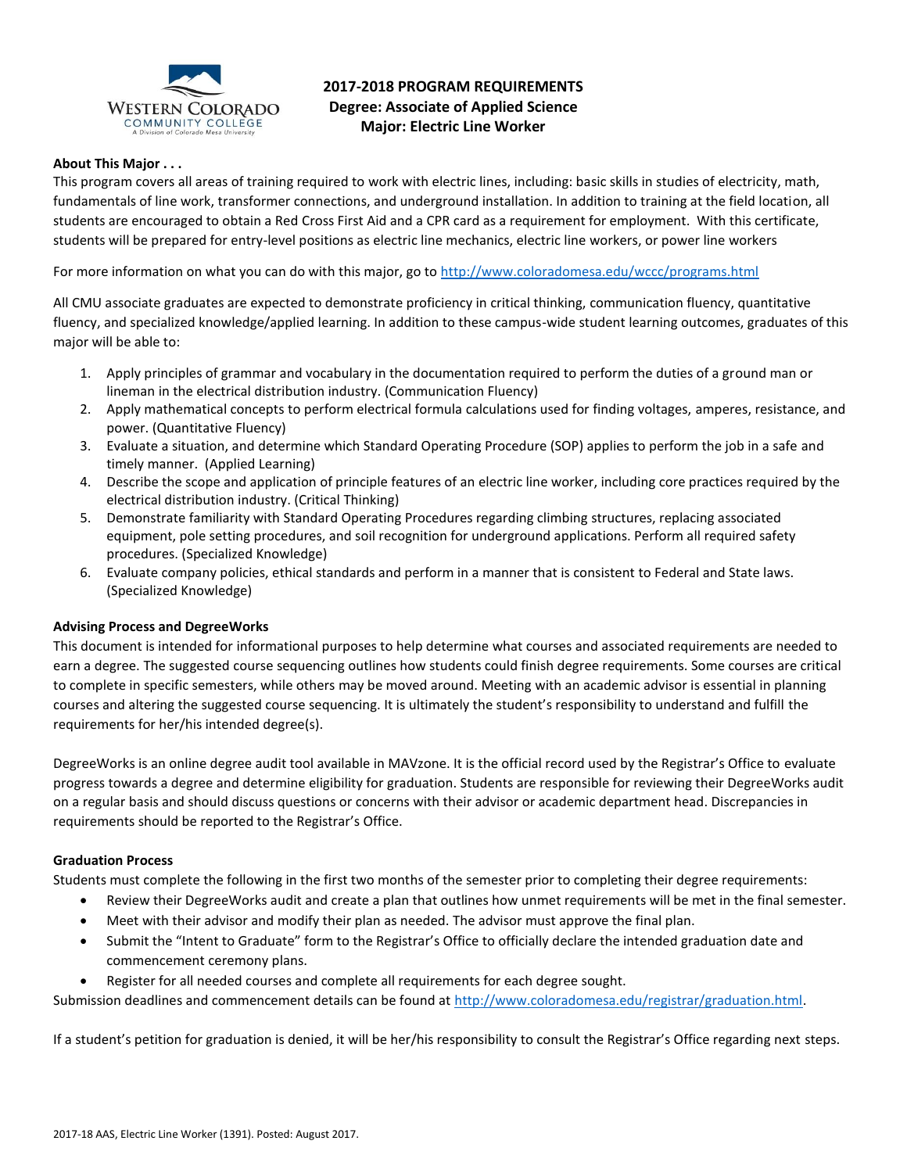

# **2017-2018 PROGRAM REQUIREMENTS Degree: Associate of Applied Science Major: Electric Line Worker**

# **About This Major . . .**

This program covers all areas of training required to work with electric lines, including: basic skills in studies of electricity, math, fundamentals of line work, transformer connections, and underground installation. In addition to training at the field location, all students are encouraged to obtain a Red Cross First Aid and a CPR card as a requirement for employment. With this certificate, students will be prepared for entry-level positions as electric line mechanics, electric line workers, or power line workers

For more information on what you can do with this major, go t[o http://www.coloradomesa.edu/wccc/programs.html](http://www.coloradomesa.edu/wccc/programs.html)

All CMU associate graduates are expected to demonstrate proficiency in critical thinking, communication fluency, quantitative fluency, and specialized knowledge/applied learning. In addition to these campus-wide student learning outcomes, graduates of this major will be able to:

- 1. Apply principles of grammar and vocabulary in the documentation required to perform the duties of a ground man or lineman in the electrical distribution industry. (Communication Fluency)
- 2. Apply mathematical concepts to perform electrical formula calculations used for finding voltages, amperes, resistance, and power. (Quantitative Fluency)
- 3. Evaluate a situation, and determine which Standard Operating Procedure (SOP) applies to perform the job in a safe and timely manner. (Applied Learning)
- 4. Describe the scope and application of principle features of an electric line worker, including core practices required by the electrical distribution industry. (Critical Thinking)
- 5. Demonstrate familiarity with Standard Operating Procedures regarding climbing structures, replacing associated equipment, pole setting procedures, and soil recognition for underground applications. Perform all required safety procedures. (Specialized Knowledge)
- 6. Evaluate company policies, ethical standards and perform in a manner that is consistent to Federal and State laws. (Specialized Knowledge)

# **Advising Process and DegreeWorks**

This document is intended for informational purposes to help determine what courses and associated requirements are needed to earn a degree. The suggested course sequencing outlines how students could finish degree requirements. Some courses are critical to complete in specific semesters, while others may be moved around. Meeting with an academic advisor is essential in planning courses and altering the suggested course sequencing. It is ultimately the student's responsibility to understand and fulfill the requirements for her/his intended degree(s).

DegreeWorks is an online degree audit tool available in MAVzone. It is the official record used by the Registrar's Office to evaluate progress towards a degree and determine eligibility for graduation. Students are responsible for reviewing their DegreeWorks audit on a regular basis and should discuss questions or concerns with their advisor or academic department head. Discrepancies in requirements should be reported to the Registrar's Office.

#### **Graduation Process**

Students must complete the following in the first two months of the semester prior to completing their degree requirements:

- Review their DegreeWorks audit and create a plan that outlines how unmet requirements will be met in the final semester.
- Meet with their advisor and modify their plan as needed. The advisor must approve the final plan.
- Submit the "Intent to Graduate" form to the Registrar's Office to officially declare the intended graduation date and commencement ceremony plans.
- Register for all needed courses and complete all requirements for each degree sought.

Submission deadlines and commencement details can be found at [http://www.coloradomesa.edu/registrar/graduation.html.](http://www.coloradomesa.edu/registrar/graduation.html)

If a student's petition for graduation is denied, it will be her/his responsibility to consult the Registrar's Office regarding next steps.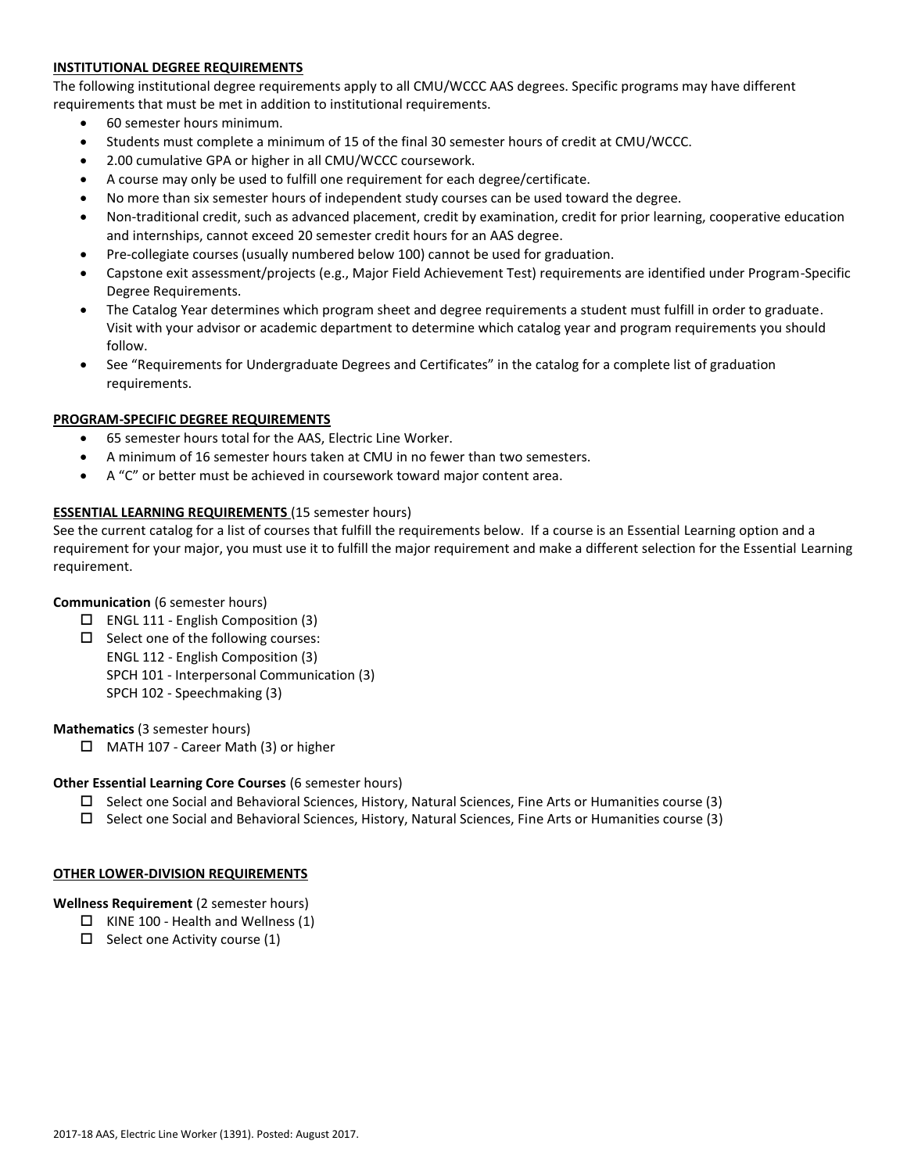# **INSTITUTIONAL DEGREE REQUIREMENTS**

The following institutional degree requirements apply to all CMU/WCCC AAS degrees. Specific programs may have different requirements that must be met in addition to institutional requirements.

- 60 semester hours minimum.
- Students must complete a minimum of 15 of the final 30 semester hours of credit at CMU/WCCC.
- 2.00 cumulative GPA or higher in all CMU/WCCC coursework.
- A course may only be used to fulfill one requirement for each degree/certificate.
- No more than six semester hours of independent study courses can be used toward the degree.
- Non-traditional credit, such as advanced placement, credit by examination, credit for prior learning, cooperative education and internships, cannot exceed 20 semester credit hours for an AAS degree.
- Pre-collegiate courses (usually numbered below 100) cannot be used for graduation.
- Capstone exit assessment/projects (e.g., Major Field Achievement Test) requirements are identified under Program-Specific Degree Requirements.
- The Catalog Year determines which program sheet and degree requirements a student must fulfill in order to graduate. Visit with your advisor or academic department to determine which catalog year and program requirements you should follow.
- See "Requirements for Undergraduate Degrees and Certificates" in the catalog for a complete list of graduation requirements.

### **PROGRAM-SPECIFIC DEGREE REQUIREMENTS**

- 65 semester hours total for the AAS, Electric Line Worker.
- A minimum of 16 semester hours taken at CMU in no fewer than two semesters.
- A "C" or better must be achieved in coursework toward major content area.

### **ESSENTIAL LEARNING REQUIREMENTS** (15 semester hours)

See the current catalog for a list of courses that fulfill the requirements below. If a course is an Essential Learning option and a requirement for your major, you must use it to fulfill the major requirement and make a different selection for the Essential Learning requirement.

#### **Communication** (6 semester hours)

- $\Box$  ENGL 111 English Composition (3)
- $\Box$  Select one of the following courses: ENGL 112 - English Composition (3) SPCH 101 - Interpersonal Communication (3) SPCH 102 - Speechmaking (3)

#### **Mathematics** (3 semester hours)

□ MATH 107 - Career Math (3) or higher

#### **Other Essential Learning Core Courses** (6 semester hours)

- $\square$  Select one Social and Behavioral Sciences, History, Natural Sciences, Fine Arts or Humanities course (3)
- $\Box$  Select one Social and Behavioral Sciences, History, Natural Sciences, Fine Arts or Humanities course (3)

#### **OTHER LOWER-DIVISION REQUIREMENTS**

# **Wellness Requirement** (2 semester hours)

- $\Box$  KINE 100 Health and Wellness (1)
- $\Box$  Select one Activity course (1)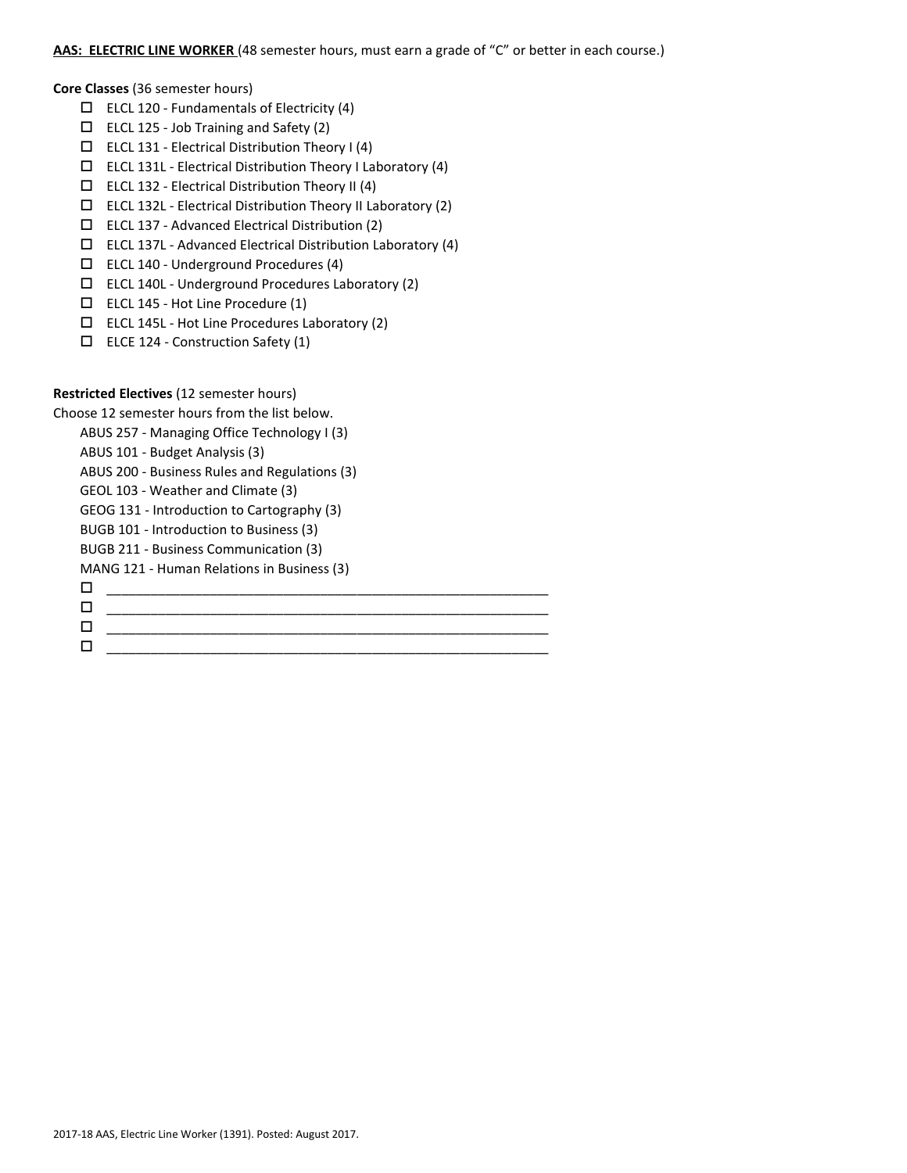### **AAS: ELECTRIC LINE WORKER** (48 semester hours, must earn a grade of "C" or better in each course.)

**Core Classes** (36 semester hours)

- $\Box$  ELCL 120 Fundamentals of Electricity (4)
- $\Box$  ELCL 125 Job Training and Safety (2)
- $\square$  ELCL 131 Electrical Distribution Theory I (4)
- $\square$  ELCL 131L Electrical Distribution Theory I Laboratory (4)
- $\square$  ELCL 132 Electrical Distribution Theory II (4)
- $\Box$  ELCL 132L Electrical Distribution Theory II Laboratory (2)
- $\square$  ELCL 137 Advanced Electrical Distribution (2)
- ELCL 137L Advanced Electrical Distribution Laboratory (4)
- $\Box$  ELCL 140 Underground Procedures (4)
- ELCL 140L Underground Procedures Laboratory (2)
- ELCL 145 Hot Line Procedure (1)
- ELCL 145L Hot Line Procedures Laboratory (2)
- $\Box$  ELCE 124 Construction Safety (1)

#### **Restricted Electives** (12 semester hours)

Choose 12 semester hours from the list below.

- ABUS 257 Managing Office Technology I (3)
- ABUS 101 Budget Analysis (3)

ABUS 200 - Business Rules and Regulations (3)

- GEOL 103 Weather and Climate (3)
- GEOG 131 Introduction to Cartography (3)
- BUGB 101 Introduction to Business (3)
- BUGB 211 Business Communication (3)

MANG 121 - Human Relations in Business (3)

- \_\_\_\_\_\_\_\_\_\_\_\_\_\_\_\_\_\_\_\_\_\_\_\_\_\_\_\_\_\_\_\_\_\_\_\_\_\_\_\_\_\_\_\_\_\_\_\_\_\_\_\_\_\_\_\_\_\_\_\_ \_\_\_\_\_\_\_\_\_\_\_\_\_\_\_\_\_\_\_\_\_\_\_\_\_\_\_\_\_\_\_\_\_\_\_\_\_\_\_\_\_\_\_\_\_\_\_\_\_\_\_\_\_\_\_\_\_\_\_\_
- $\Box$  , and the contract of the contract of the contract of the contract of the contract of the contract of the contract of the contract of the contract of the contract of the contract of the contract of the contract of th  $\Box$  . The contract of the contract of the contract of the contract of the contract of the contract of the contract of the contract of the contract of the contract of the contract of the contract of the contract of the co